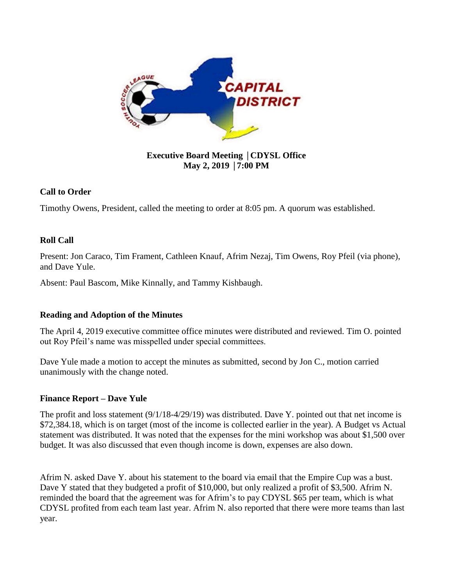

**Executive Board Meeting** │**CDYSL Office May 2, 2019** │**7:00 PM**

# **Call to Order**

Timothy Owens, President, called the meeting to order at 8:05 pm. A quorum was established.

# **Roll Call**

Present: Jon Caraco, Tim Frament, Cathleen Knauf, Afrim Nezaj, Tim Owens, Roy Pfeil (via phone), and Dave Yule.

Absent: Paul Bascom, Mike Kinnally, and Tammy Kishbaugh.

# **Reading and Adoption of the Minutes**

The April 4, 2019 executive committee office minutes were distributed and reviewed. Tim O. pointed out Roy Pfeil's name was misspelled under special committees.

Dave Yule made a motion to accept the minutes as submitted, second by Jon C., motion carried unanimously with the change noted.

# **Finance Report – Dave Yule**

The profit and loss statement (9/1/18-4/29/19) was distributed. Dave Y. pointed out that net income is \$72,384.18, which is on target (most of the income is collected earlier in the year). A Budget vs Actual statement was distributed. It was noted that the expenses for the mini workshop was about \$1,500 over budget. It was also discussed that even though income is down, expenses are also down.

Afrim N. asked Dave Y. about his statement to the board via email that the Empire Cup was a bust. Dave Y stated that they budgeted a profit of \$10,000, but only realized a profit of \$3,500. Afrim N. reminded the board that the agreement was for Afrim's to pay CDYSL \$65 per team, which is what CDYSL profited from each team last year. Afrim N. also reported that there were more teams than last year.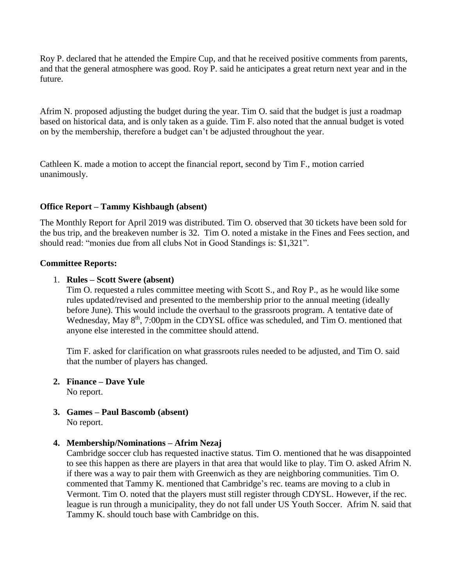Roy P. declared that he attended the Empire Cup, and that he received positive comments from parents, and that the general atmosphere was good. Roy P. said he anticipates a great return next year and in the future.

Afrim N. proposed adjusting the budget during the year. Tim O. said that the budget is just a roadmap based on historical data, and is only taken as a guide. Tim F. also noted that the annual budget is voted on by the membership, therefore a budget can't be adjusted throughout the year.

Cathleen K. made a motion to accept the financial report, second by Tim F., motion carried unanimously.

# **Office Report – Tammy Kishbaugh (absent)**

The Monthly Report for April 2019 was distributed. Tim O. observed that 30 tickets have been sold for the bus trip, and the breakeven number is 32. Tim O. noted a mistake in the Fines and Fees section, and should read: "monies due from all clubs Not in Good Standings is: \$1,321".

#### **Committee Reports:**

### 1. **Rules – Scott Swere (absent)**

Tim O. requested a rules committee meeting with Scott S., and Roy P., as he would like some rules updated/revised and presented to the membership prior to the annual meeting (ideally before June). This would include the overhaul to the grassroots program. A tentative date of Wednesday, May 8<sup>th</sup>, 7:00pm in the CDYSL office was scheduled, and Tim O. mentioned that anyone else interested in the committee should attend.

Tim F. asked for clarification on what grassroots rules needed to be adjusted, and Tim O. said that the number of players has changed.

- **2. Finance – Dave Yule** No report.
- **3. Games – Paul Bascomb (absent)** No report.

#### **4. Membership/Nominations – Afrim Nezaj**

Cambridge soccer club has requested inactive status. Tim O. mentioned that he was disappointed to see this happen as there are players in that area that would like to play. Tim O. asked Afrim N. if there was a way to pair them with Greenwich as they are neighboring communities. Tim O. commented that Tammy K. mentioned that Cambridge's rec. teams are moving to a club in Vermont. Tim O. noted that the players must still register through CDYSL. However, if the rec. league is run through a municipality, they do not fall under US Youth Soccer. Afrim N. said that Tammy K. should touch base with Cambridge on this.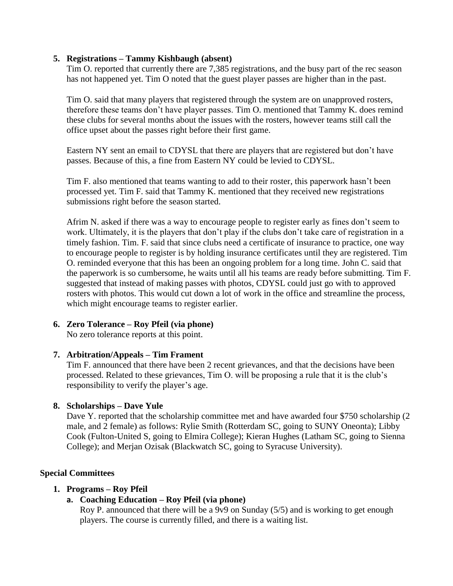#### **5. Registrations – Tammy Kishbaugh (absent)**

Tim O. reported that currently there are 7,385 registrations, and the busy part of the rec season has not happened yet. Tim O noted that the guest player passes are higher than in the past.

Tim O. said that many players that registered through the system are on unapproved rosters, therefore these teams don't have player passes. Tim O. mentioned that Tammy K. does remind these clubs for several months about the issues with the rosters, however teams still call the office upset about the passes right before their first game.

Eastern NY sent an email to CDYSL that there are players that are registered but don't have passes. Because of this, a fine from Eastern NY could be levied to CDYSL.

Tim F. also mentioned that teams wanting to add to their roster, this paperwork hasn't been processed yet. Tim F. said that Tammy K. mentioned that they received new registrations submissions right before the season started.

Afrim N. asked if there was a way to encourage people to register early as fines don't seem to work. Ultimately, it is the players that don't play if the clubs don't take care of registration in a timely fashion. Tim. F. said that since clubs need a certificate of insurance to practice, one way to encourage people to register is by holding insurance certificates until they are registered. Tim O. reminded everyone that this has been an ongoing problem for a long time. John C. said that the paperwork is so cumbersome, he waits until all his teams are ready before submitting. Tim F. suggested that instead of making passes with photos, CDYSL could just go with to approved rosters with photos. This would cut down a lot of work in the office and streamline the process, which might encourage teams to register earlier.

#### **6. Zero Tolerance – Roy Pfeil (via phone)**

No zero tolerance reports at this point.

#### **7. Arbitration/Appeals – Tim Frament**

Tim F. announced that there have been 2 recent grievances, and that the decisions have been processed. Related to these grievances, Tim O. will be proposing a rule that it is the club's responsibility to verify the player's age.

# **8. Scholarships – Dave Yule**

Dave Y. reported that the scholarship committee met and have awarded four \$750 scholarship (2) male, and 2 female) as follows: Rylie Smith (Rotterdam SC, going to SUNY Oneonta); Libby Cook (Fulton-United S, going to Elmira College); Kieran Hughes (Latham SC, going to Sienna College); and Merjan Ozisak (Blackwatch SC, going to Syracuse University).

# **Special Committees**

# **1. Programs – Roy Pfeil**

# **a. Coaching Education – Roy Pfeil (via phone)**

Roy P. announced that there will be a 9v9 on Sunday (5/5) and is working to get enough players. The course is currently filled, and there is a waiting list.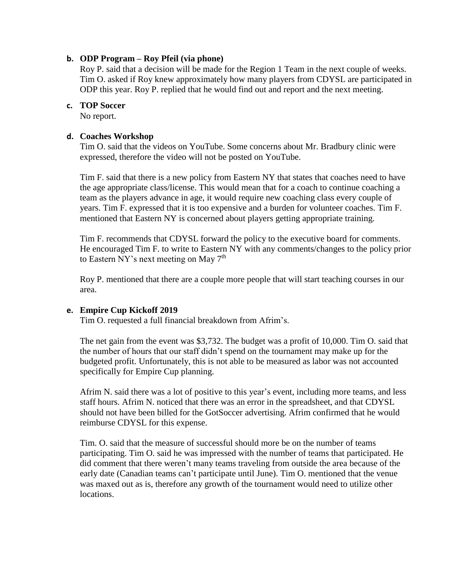### **b. ODP Program – Roy Pfeil (via phone)**

Roy P. said that a decision will be made for the Region 1 Team in the next couple of weeks. Tim O. asked if Roy knew approximately how many players from CDYSL are participated in ODP this year. Roy P. replied that he would find out and report and the next meeting.

#### **c. TOP Soccer**

No report.

### **d. Coaches Workshop**

Tim O. said that the videos on YouTube. Some concerns about Mr. Bradbury clinic were expressed, therefore the video will not be posted on YouTube.

Tim F. said that there is a new policy from Eastern NY that states that coaches need to have the age appropriate class/license. This would mean that for a coach to continue coaching a team as the players advance in age, it would require new coaching class every couple of years. Tim F. expressed that it is too expensive and a burden for volunteer coaches. Tim F. mentioned that Eastern NY is concerned about players getting appropriate training.

Tim F. recommends that CDYSL forward the policy to the executive board for comments. He encouraged Tim F. to write to Eastern NY with any comments/changes to the policy prior to Eastern NY's next meeting on May  $7<sup>th</sup>$ 

Roy P. mentioned that there are a couple more people that will start teaching courses in our area.

#### **e. Empire Cup Kickoff 2019**

Tim O. requested a full financial breakdown from Afrim's.

The net gain from the event was \$3,732. The budget was a profit of 10,000. Tim O. said that the number of hours that our staff didn't spend on the tournament may make up for the budgeted profit. Unfortunately, this is not able to be measured as labor was not accounted specifically for Empire Cup planning.

Afrim N. said there was a lot of positive to this year's event, including more teams, and less staff hours. Afrim N. noticed that there was an error in the spreadsheet, and that CDYSL should not have been billed for the GotSoccer advertising. Afrim confirmed that he would reimburse CDYSL for this expense.

Tim. O. said that the measure of successful should more be on the number of teams participating. Tim O. said he was impressed with the number of teams that participated. He did comment that there weren't many teams traveling from outside the area because of the early date (Canadian teams can't participate until June). Tim O. mentioned that the venue was maxed out as is, therefore any growth of the tournament would need to utilize other locations.